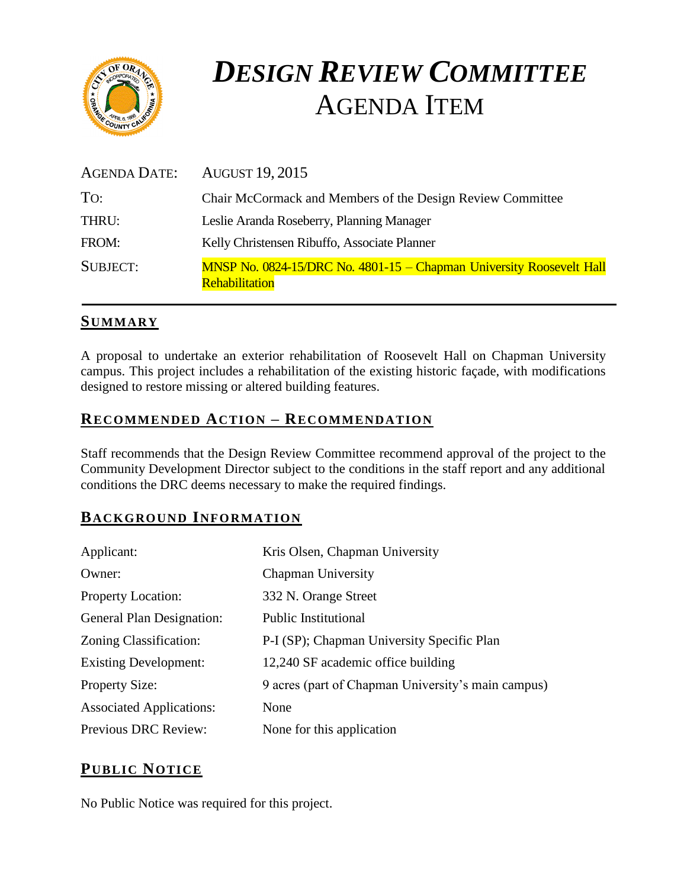

# *DESIGN REVIEW COMMITTEE*  AGENDA ITEM

| <b>AGENDA DATE:</b> | <b>AUGUST 19, 2015</b>                                                                               |  |
|---------------------|------------------------------------------------------------------------------------------------------|--|
| To:                 | Chair McCormack and Members of the Design Review Committee                                           |  |
| THRU:               | Leslie Aranda Roseberry, Planning Manager                                                            |  |
| FROM:               | Kelly Christensen Ribuffo, Associate Planner                                                         |  |
| <b>SUBJECT:</b>     | <b>MNSP No. 0824-15/DRC No. 4801-15 – Chapman University Roosevelt Hall</b><br><b>Rehabilitation</b> |  |

## **SUMMARY**

A proposal to undertake an exterior rehabilitation of Roosevelt Hall on Chapman University campus. This project includes a rehabilitation of the existing historic façade, with modifications designed to restore missing or altered building features.

## **RECOMMENDED ACTION – RECOMMENDATION**

Staff recommends that the Design Review Committee recommend approval of the project to the Community Development Director subject to the conditions in the staff report and any additional conditions the DRC deems necessary to make the required findings.

# **BACKGROUND INFORMATION**

| Applicant:                      | Kris Olsen, Chapman University                     |
|---------------------------------|----------------------------------------------------|
| Owner:                          | Chapman University                                 |
| <b>Property Location:</b>       | 332 N. Orange Street                               |
| General Plan Designation:       | <b>Public Institutional</b>                        |
| Zoning Classification:          | P-I (SP); Chapman University Specific Plan         |
| <b>Existing Development:</b>    | 12,240 SF academic office building                 |
| <b>Property Size:</b>           | 9 acres (part of Chapman University's main campus) |
| <b>Associated Applications:</b> | None                                               |
| <b>Previous DRC Review:</b>     | None for this application                          |

# **PUB LIC NOTICE**

No Public Notice was required for this project.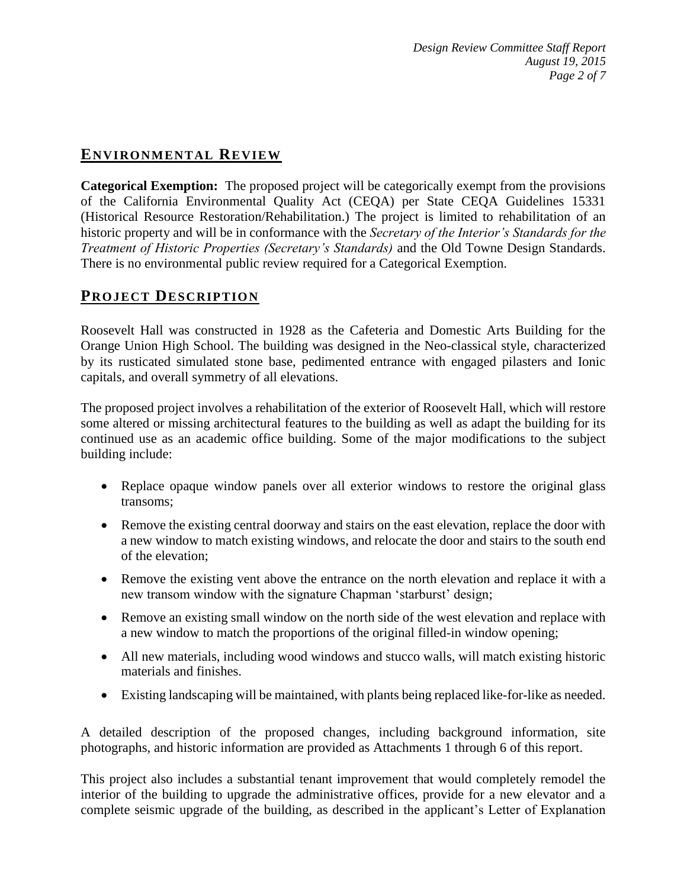## **ENVIRONMENTAL REVIEW**

**Categorical Exemption:** The proposed project will be categorically exempt from the provisions of the California Environmental Quality Act (CEQA) per State CEQA Guidelines 15331 (Historical Resource Restoration/Rehabilitation.) The project is limited to rehabilitation of an historic property and will be in conformance with the *Secretary of the Interior's Standards for the Treatment of Historic Properties (Secretary's Standards)* and the Old Towne Design Standards. There is no environmental public review required for a Categorical Exemption.

## **PROJECT DESCRIP TION**

Roosevelt Hall was constructed in 1928 as the Cafeteria and Domestic Arts Building for the Orange Union High School. The building was designed in the Neo-classical style, characterized by its rusticated simulated stone base, pedimented entrance with engaged pilasters and Ionic capitals, and overall symmetry of all elevations.

The proposed project involves a rehabilitation of the exterior of Roosevelt Hall, which will restore some altered or missing architectural features to the building as well as adapt the building for its continued use as an academic office building. Some of the major modifications to the subject building include:

- Replace opaque window panels over all exterior windows to restore the original glass transoms;
- Remove the existing central doorway and stairs on the east elevation, replace the door with a new window to match existing windows, and relocate the door and stairs to the south end of the elevation;
- Remove the existing vent above the entrance on the north elevation and replace it with a new transom window with the signature Chapman 'starburst' design;
- Remove an existing small window on the north side of the west elevation and replace with a new window to match the proportions of the original filled-in window opening;
- All new materials, including wood windows and stucco walls, will match existing historic materials and finishes.
- Existing landscaping will be maintained, with plants being replaced like-for-like as needed.

A detailed description of the proposed changes, including background information, site photographs, and historic information are provided as Attachments 1 through 6 of this report.

This project also includes a substantial tenant improvement that would completely remodel the interior of the building to upgrade the administrative offices, provide for a new elevator and a complete seismic upgrade of the building, as described in the applicant's Letter of Explanation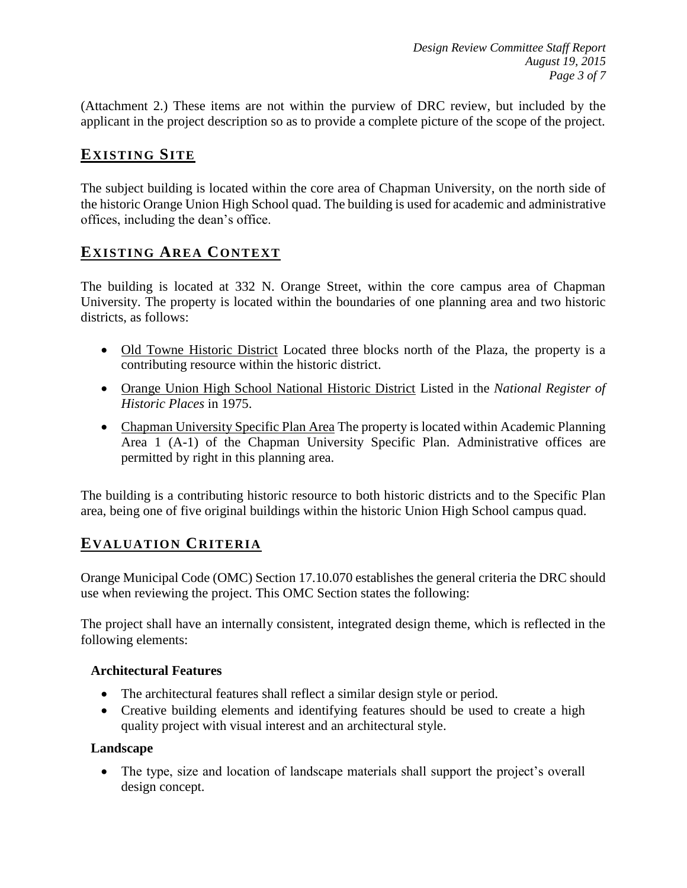(Attachment 2.) These items are not within the purview of DRC review, but included by the applicant in the project description so as to provide a complete picture of the scope of the project.

# **EXISTING SITE**

The subject building is located within the core area of Chapman University, on the north side of the historic Orange Union High School quad. The building is used for academic and administrative offices, including the dean's office.

## **EXISTING AREA CONTEXT**

The building is located at 332 N. Orange Street, within the core campus area of Chapman University. The property is located within the boundaries of one planning area and two historic districts, as follows:

- Old Towne Historic District Located three blocks north of the Plaza, the property is a contributing resource within the historic district.
- Orange Union High School National Historic District Listed in the *National Register of Historic Places* in 1975.
- Chapman University Specific Plan Area The property is located within Academic Planning Area 1 (A-1) of the Chapman University Specific Plan. Administrative offices are permitted by right in this planning area.

The building is a contributing historic resource to both historic districts and to the Specific Plan area, being one of five original buildings within the historic Union High School campus quad.

## **EVALUATION CRITERIA**

Orange Municipal Code (OMC) Section 17.10.070 establishes the general criteria the DRC should use when reviewing the project. This OMC Section states the following:

The project shall have an internally consistent, integrated design theme, which is reflected in the following elements:

#### **Architectural Features**

- The architectural features shall reflect a similar design style or period.
- Creative building elements and identifying features should be used to create a high quality project with visual interest and an architectural style.

#### **Landscape**

• The type, size and location of landscape materials shall support the project's overall design concept.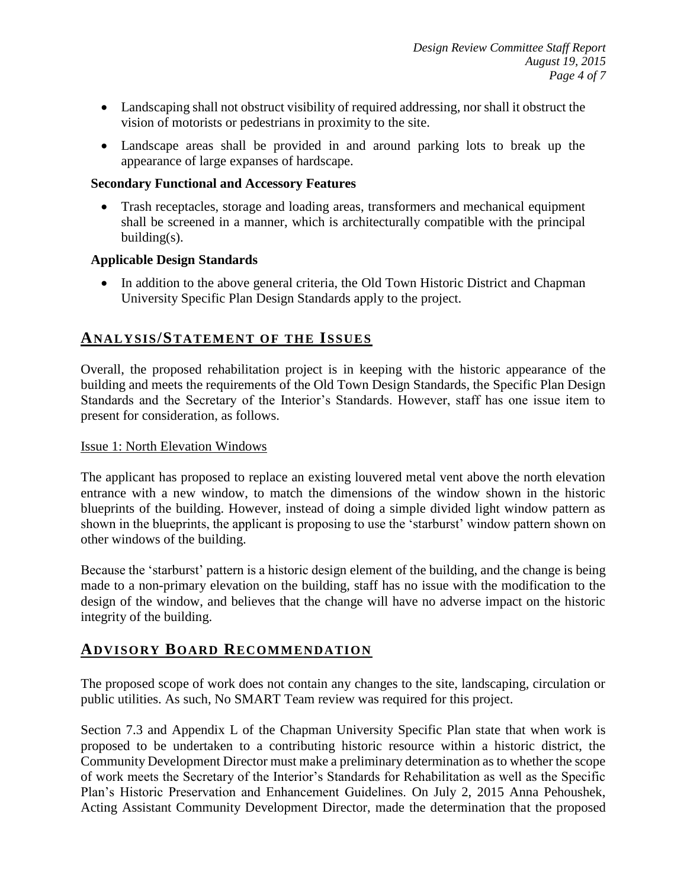- Landscaping shall not obstruct visibility of required addressing, nor shall it obstruct the vision of motorists or pedestrians in proximity to the site.
- Landscape areas shall be provided in and around parking lots to break up the appearance of large expanses of hardscape.

#### **Secondary Functional and Accessory Features**

 Trash receptacles, storage and loading areas, transformers and mechanical equipment shall be screened in a manner, which is architecturally compatible with the principal building(s).

#### **Applicable Design Standards**

• In addition to the above general criteria, the Old Town Historic District and Chapman University Specific Plan Design Standards apply to the project.

## **ANALY SIS/STATEMENT OF THE ISSUES**

Overall, the proposed rehabilitation project is in keeping with the historic appearance of the building and meets the requirements of the Old Town Design Standards, the Specific Plan Design Standards and the Secretary of the Interior's Standards. However, staff has one issue item to present for consideration, as follows.

#### Issue 1: North Elevation Windows

The applicant has proposed to replace an existing louvered metal vent above the north elevation entrance with a new window, to match the dimensions of the window shown in the historic blueprints of the building. However, instead of doing a simple divided light window pattern as shown in the blueprints, the applicant is proposing to use the 'starburst' window pattern shown on other windows of the building.

Because the 'starburst' pattern is a historic design element of the building, and the change is being made to a non-primary elevation on the building, staff has no issue with the modification to the design of the window, and believes that the change will have no adverse impact on the historic integrity of the building.

## **ADVISORY BOARD RECOMMENDATION**

The proposed scope of work does not contain any changes to the site, landscaping, circulation or public utilities. As such, No SMART Team review was required for this project.

Section 7.3 and Appendix L of the Chapman University Specific Plan state that when work is proposed to be undertaken to a contributing historic resource within a historic district, the Community Development Director must make a preliminary determination as to whether the scope of work meets the Secretary of the Interior's Standards for Rehabilitation as well as the Specific Plan's Historic Preservation and Enhancement Guidelines. On July 2, 2015 Anna Pehoushek, Acting Assistant Community Development Director, made the determination that the proposed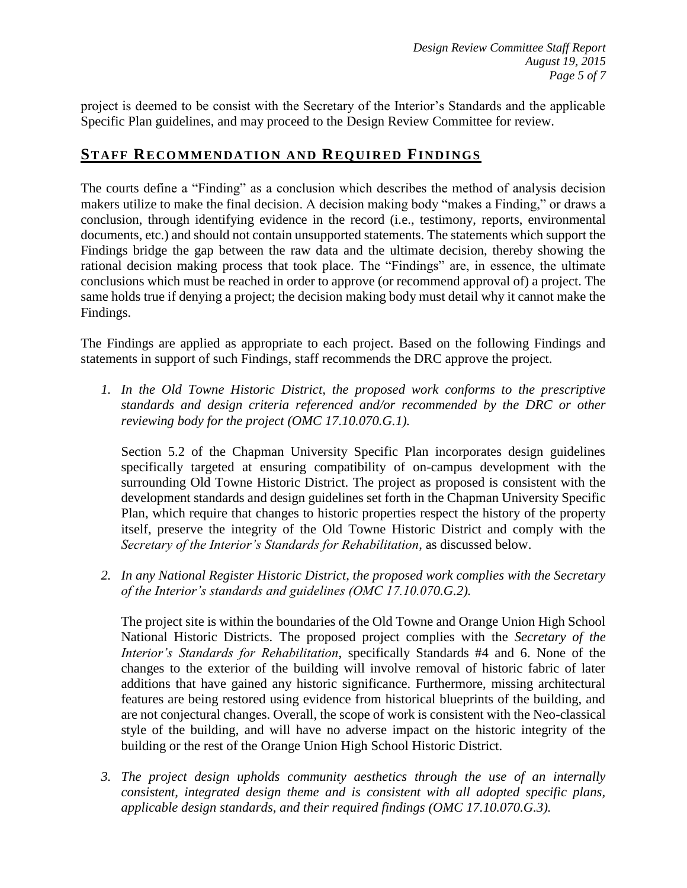project is deemed to be consist with the Secretary of the Interior's Standards and the applicable Specific Plan guidelines, and may proceed to the Design Review Committee for review.

## **STAFF RECOMMENDATION AND REQUIRED FINDINGS**

The courts define a "Finding" as a conclusion which describes the method of analysis decision makers utilize to make the final decision. A decision making body "makes a Finding," or draws a conclusion, through identifying evidence in the record (i.e., testimony, reports, environmental documents, etc.) and should not contain unsupported statements. The statements which support the Findings bridge the gap between the raw data and the ultimate decision, thereby showing the rational decision making process that took place. The "Findings" are, in essence, the ultimate conclusions which must be reached in order to approve (or recommend approval of) a project. The same holds true if denying a project; the decision making body must detail why it cannot make the Findings.

The Findings are applied as appropriate to each project. Based on the following Findings and statements in support of such Findings, staff recommends the DRC approve the project.

*1. In the Old Towne Historic District, the proposed work conforms to the prescriptive standards and design criteria referenced and/or recommended by the DRC or other reviewing body for the project (OMC 17.10.070.G.1).*

Section 5.2 of the Chapman University Specific Plan incorporates design guidelines specifically targeted at ensuring compatibility of on-campus development with the surrounding Old Towne Historic District. The project as proposed is consistent with the development standards and design guidelines set forth in the Chapman University Specific Plan, which require that changes to historic properties respect the history of the property itself, preserve the integrity of the Old Towne Historic District and comply with the *Secretary of the Interior's Standards for Rehabilitation*, as discussed below.

*2. In any National Register Historic District, the proposed work complies with the Secretary of the Interior's standards and guidelines (OMC 17.10.070.G.2).*

The project site is within the boundaries of the Old Towne and Orange Union High School National Historic Districts. The proposed project complies with the *Secretary of the Interior's Standards for Rehabilitation*, specifically Standards #4 and 6. None of the changes to the exterior of the building will involve removal of historic fabric of later additions that have gained any historic significance. Furthermore, missing architectural features are being restored using evidence from historical blueprints of the building, and are not conjectural changes. Overall, the scope of work is consistent with the Neo-classical style of the building, and will have no adverse impact on the historic integrity of the building or the rest of the Orange Union High School Historic District.

*3. The project design upholds community aesthetics through the use of an internally consistent, integrated design theme and is consistent with all adopted specific plans, applicable design standards, and their required findings (OMC 17.10.070.G.3).*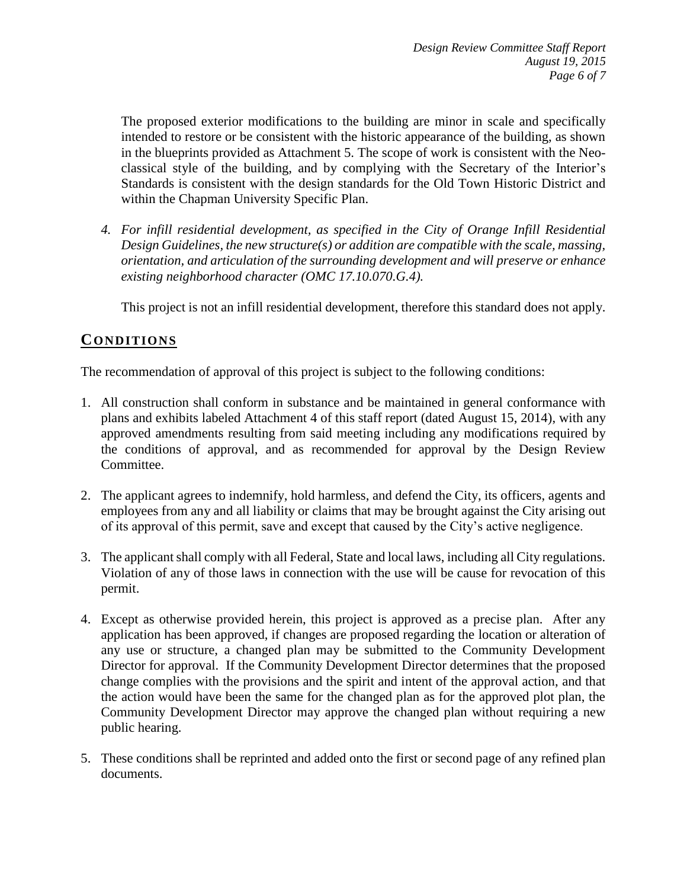The proposed exterior modifications to the building are minor in scale and specifically intended to restore or be consistent with the historic appearance of the building, as shown in the blueprints provided as Attachment 5. The scope of work is consistent with the Neoclassical style of the building, and by complying with the Secretary of the Interior's Standards is consistent with the design standards for the Old Town Historic District and within the Chapman University Specific Plan.

*4. For infill residential development, as specified in the City of Orange Infill Residential Design Guidelines, the new structure(s) or addition are compatible with the scale, massing, orientation, and articulation of the surrounding development and will preserve or enhance existing neighborhood character (OMC 17.10.070.G.4).*

This project is not an infill residential development, therefore this standard does not apply.

## **CONDITIONS**

The recommendation of approval of this project is subject to the following conditions:

- 1. All construction shall conform in substance and be maintained in general conformance with plans and exhibits labeled Attachment 4 of this staff report (dated August 15, 2014), with any approved amendments resulting from said meeting including any modifications required by the conditions of approval, and as recommended for approval by the Design Review Committee.
- 2. The applicant agrees to indemnify, hold harmless, and defend the City, its officers, agents and employees from any and all liability or claims that may be brought against the City arising out of its approval of this permit, save and except that caused by the City's active negligence.
- 3. The applicant shall comply with all Federal, State and local laws, including all City regulations. Violation of any of those laws in connection with the use will be cause for revocation of this permit.
- 4. Except as otherwise provided herein, this project is approved as a precise plan. After any application has been approved, if changes are proposed regarding the location or alteration of any use or structure, a changed plan may be submitted to the Community Development Director for approval. If the Community Development Director determines that the proposed change complies with the provisions and the spirit and intent of the approval action, and that the action would have been the same for the changed plan as for the approved plot plan, the Community Development Director may approve the changed plan without requiring a new public hearing.
- 5. These conditions shall be reprinted and added onto the first or second page of any refined plan documents.